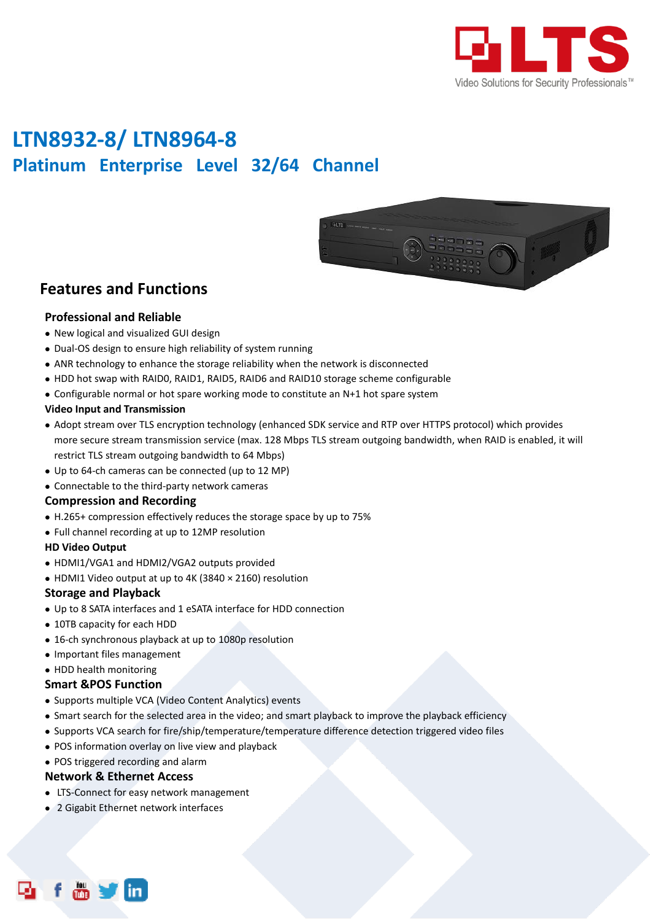

# **LTN8932-8/ LTN8964-8 Platinum Enterprise Level 32/64 Channel**



### **Features and Functions**

#### **Professional and Reliable**

- New logical and visualized GUI design
- Dual-OS design to ensure high reliability of system running
- ANR technology to enhance the storage reliability when the network is disconnected
- HDD hot swap with RAID0, RAID1, RAID5, RAID6 and RAID10 storage scheme configurable
- Configurable normal or hot spare working mode to constitute an N+1 hot spare system

#### **Video Input and Transmission**

- Adopt stream over TLS encryption technology (enhanced SDK service and RTP over HTTPS protocol) which provides more secure stream transmission service (max. 128 Mbps TLS stream outgoing bandwidth, when RAID is enabled, it will restrict TLS stream outgoing bandwidth to 64 Mbps)
- Up to 64-ch cameras can be connected (up to 12 MP)
- Connectable to the third-party network cameras

#### **Compression and Recording**

- H.265+ compression effectively reduces the storage space by up to 75%
- Full channel recording at up to 12MP resolution

#### **HD Video Output**

- HDMI1/VGA1 and HDMI2/VGA2 outputs provided
- HDMI1 Video output at up to 4K (3840 × 2160) resolution

#### **Storage and Playback**

- Up to 8 SATA interfaces and 1 eSATA interface for HDD connection
- 10TB capacity for each HDD
- 16-ch synchronous playback at up to 1080p resolution
- Important files management

#### • HDD health monitoring

#### **Smart &POS Function**

- Supports multiple VCA (Video Content Analytics) events
- Smart search for the selected area in the video; and smart playback to improve the playback efficiency
- Supports VCA search for fire/ship/temperature/temperature difference detection triggered video files
- POS information overlay on live view and playback
- POS triggered recording and alarm

#### **Network & Ethernet Access**

- LTS-Connect for easy network management
- 2 Gigabit Ethernet network interfaces

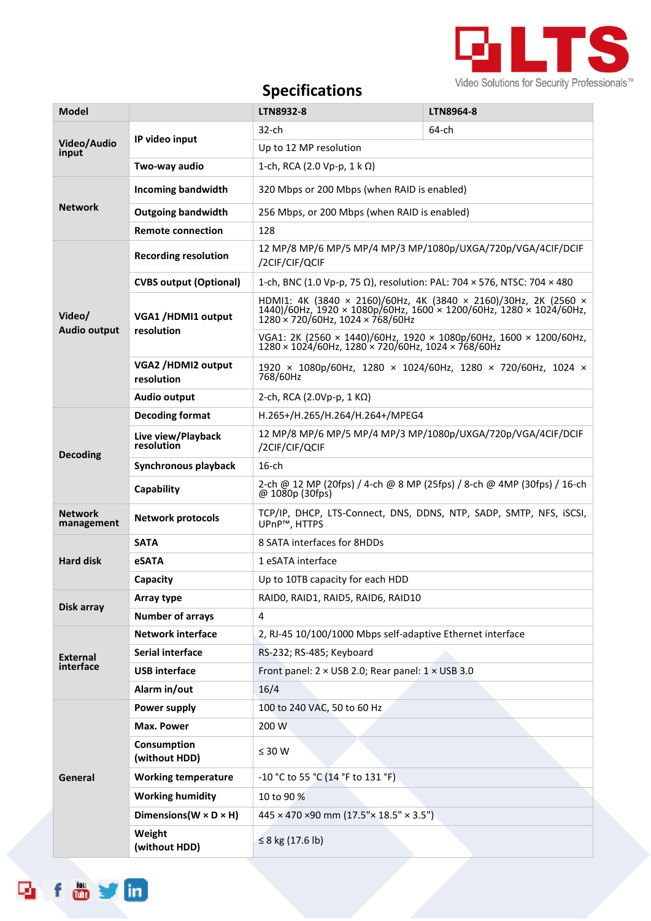

## **Specifications**

| <b>Model</b>                  |                                      | LTN8932-8                                                                                                                                                                 | LTN8964-8 |  |
|-------------------------------|--------------------------------------|---------------------------------------------------------------------------------------------------------------------------------------------------------------------------|-----------|--|
| Video/Audio<br>input          |                                      | $32$ -ch                                                                                                                                                                  | 64-ch     |  |
|                               | IP video input                       | Up to 12 MP resolution                                                                                                                                                    |           |  |
|                               | Two-way audio                        | 1-ch, RCA (2.0 Vp-p, 1 k Ω)                                                                                                                                               |           |  |
| <b>Network</b>                | <b>Incoming bandwidth</b>            | 320 Mbps or 200 Mbps (when RAID is enabled)                                                                                                                               |           |  |
|                               | <b>Outgoing bandwidth</b>            | 256 Mbps, or 200 Mbps (when RAID is enabled)                                                                                                                              |           |  |
|                               | <b>Remote connection</b>             | 128                                                                                                                                                                       |           |  |
| Video/<br><b>Audio output</b> | <b>Recording resolution</b>          | 12 MP/8 MP/6 MP/5 MP/4 MP/3 MP/1080p/UXGA/720p/VGA/4CIF/DCIF<br>/2CIF/CIF/QCIF                                                                                            |           |  |
|                               | <b>CVBS output (Optional)</b>        | 1-ch, BNC (1.0 Vp-p, 75 Ω), resolution: PAL: 704 × 576, NTSC: 704 × 480                                                                                                   |           |  |
|                               | VGA1 /HDMI1 output<br>resolution     | HDMI1: 4K (3840 × 2160)/60Hz, 4K (3840 × 2160)/30Hz, 2K (2560 ×<br>1440)/60Hz, 1920 × 1080p/60Hz, 1600 × 1200/60Hz, 1280 × 1024/60Hz,<br>1280 x 720/60Hz, 1024 x 768/60Hz |           |  |
|                               |                                      | VGA1: 2K (2560 × 1440)/60Hz, 1920 × 1080p/60Hz, 1600 × 1200/60Hz,<br>$1280 \times 1024/60$ Hz, $1280' \times 720/60$ Hz, $1024 \times 768/60$ Hz                          |           |  |
|                               | VGA2 /HDMI2 output<br>resolution     | 1920 × 1080p/60Hz, 1280 × 1024/60Hz, 1280 × 720/60Hz, 1024 ×<br>768/60Hz                                                                                                  |           |  |
|                               | Audio output                         | 2-ch, RCA (2.0Vp-p, 1 $K\Omega$ )                                                                                                                                         |           |  |
| <b>Decoding</b>               | <b>Decoding format</b>               | H.265+/H.265/H.264/H.264+/MPEG4                                                                                                                                           |           |  |
|                               | Live view/Playback<br>resolution     | 12 MP/8 MP/6 MP/5 MP/4 MP/3 MP/1080p/UXGA/720p/VGA/4CIF/DCIF<br>/2CIF/CIF/QCIF                                                                                            |           |  |
|                               | Synchronous playback                 | $16$ -ch                                                                                                                                                                  |           |  |
|                               | Capability                           | 2-ch @ 12 MP (20fps) / 4-ch @ 8 MP (25fps) / 8-ch @ 4MP (30fps) / 16-ch<br>@1080p(30fps)                                                                                  |           |  |
| <b>Network</b><br>management  | <b>Network protocols</b>             | TCP/IP, DHCP, LTS-Connect, DNS, DDNS, NTP, SADP, SMTP, NFS, iSCSI,<br>UPnP™, HTTPS                                                                                        |           |  |
| <b>Hard disk</b>              | <b>SATA</b>                          | 8 SATA interfaces for 8HDDs                                                                                                                                               |           |  |
|                               | eSATA                                | 1 eSATA interface                                                                                                                                                         |           |  |
|                               | Capacity                             | Up to 10TB capacity for each HDD                                                                                                                                          |           |  |
| Disk array                    | Array type                           | RAIDO, RAID1, RAID5, RAID6, RAID10                                                                                                                                        |           |  |
|                               | <b>Number of arrays</b>              | 4                                                                                                                                                                         |           |  |
| <b>External</b><br>interface  | <b>Network interface</b>             | 2, RJ-45 10/100/1000 Mbps self-adaptive Ethernet interface                                                                                                                |           |  |
|                               | Serial interface                     | RS-232; RS-485; Keyboard                                                                                                                                                  |           |  |
|                               | <b>USB</b> interface                 | Front panel: $2 \times$ USB 2.0; Rear panel: $1 \times$ USB 3.0                                                                                                           |           |  |
|                               | Alarm in/out                         | 16/4                                                                                                                                                                      |           |  |
| General                       | Power supply                         | 100 to 240 VAC, 50 to 60 Hz                                                                                                                                               |           |  |
|                               | <b>Max. Power</b>                    | 200 W                                                                                                                                                                     |           |  |
|                               | Consumption<br>(without HDD)         | $\leq 30$ W                                                                                                                                                               |           |  |
|                               | <b>Working temperature</b>           | -10 °C to 55 °C (14 °F to 131 °F)                                                                                                                                         |           |  |
|                               | <b>Working humidity</b>              | 10 to 90 %                                                                                                                                                                |           |  |
|                               | Dimensions ( $W \times D \times H$ ) | 445 × 470 ×90 mm (17.5"× 18.5" × 3.5")                                                                                                                                    |           |  |
|                               | Weight<br>(without HDD)              | ≤ 8 kg (17.6 lb)                                                                                                                                                          |           |  |

foyin

ها